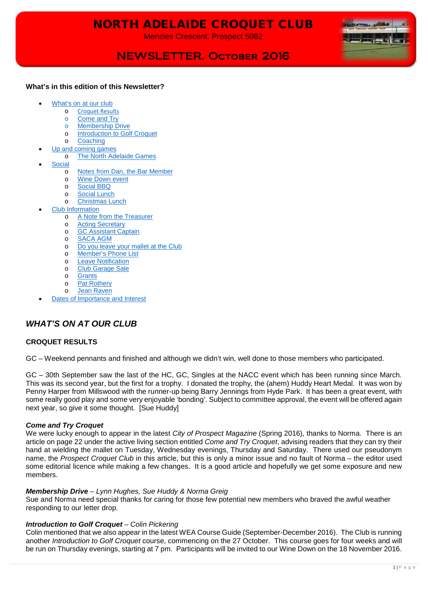# NORTH ADELAIDE CROQUET CLUB

Menzies Crescent, Prospect 5082



# NEWSLETTER, October 2016

#### **What's in this edition of this Newsletter?**

- [What's on at our club](#page-0-0)
	- o [Croquet Results](#page-0-1)
	- o [Come and Try](#page-0-2)
	- o [Membership Drive](#page-0-3)
	- o [Introduction to Golf Croquet](#page-0-4)
	- o [Coaching](#page-1-0)
	- [Up and coming games](#page-1-1) o [The North Adelaide Games](#page-1-2)
- **[Social](#page-1-3)** 
	- o [Notes from Dan, the Bar Member](#page-1-4)<br>
	o Wine Down event
	- **[Wine Down event](#page-1-5)**
	- o [Social BBQ](#page-1-6)
	- o [Social Lunch](#page-1-7)
	- o [Christmas Lunch](#page-1-8)
- [Club Information](#page-1-9)
	- o [A Note from the Treasurer](#page-1-10)
	- o [Acting Secretary](#page-1-11)<br> **GC Assistant Car**
	- o [GC Assistant Captain](#page-1-12)<br>
	SACA AGM
	- o **[SACA AGM](#page-1-13)**<br>o Do you leave
	- o [Do you leave your mallet at the Club](#page-1-14)<br>
	o Member's Phone List
	- o [Member's Phone List](#page-1-15)<br>o Leave Notification
	- o [Leave Notification](#page-2-0)<br>o Club Garage Sale
	- o [Club Garage Sale](#page-2-1)
	- o <u>[Grants](#page-2-2)</u><br>o Pat Rot
	- o [Pat Rothery](#page-2-3)<br>o Jean Raven
	- **[Jean Raven](#page-2-4)**
- [Dates of Importance and Interest](#page-2-5)

# <span id="page-0-0"></span>*WHAT'S ON AT OUR CLUB*

# <span id="page-0-1"></span>**CROQUET RESULTS**

GC – Weekend pennants and finished and although we didn't win, well done to those members who participated.

GC – 30th September saw the last of the HC, GC, Singles at the NACC event which has been running since March. This was its second year, but the first for a trophy. I donated the trophy, the (ahem) Huddy Heart Medal. It was won by Penny Harper from Millswood with the runner-up being Barry Jennings from Hyde Park. It has been a great event, with some really good play and some very enjoyable 'bonding'. Subject to committee approval, the event will be offered again next year, so give it some thought. [Sue Huddy]

# <span id="page-0-2"></span>*Come and Try Croquet*

We were lucky enough to appear in the latest *City of Prospect Magazine* (Spring 2016), thanks to Norma. There is an article on page 22 under the active living section entitled *Come and Try Croquet*, advising readers that they can try their hand at wielding the mallet on Tuesday, Wednesday evenings, Thursday and Saturday. There used our pseudonym name, the *Prospect Croquet Club* in this article, but this is only a minor issue and no fault of Norma – the editor used some editorial licence while making a few changes. It is a good article and hopefully we get some exposure and new members.

# <span id="page-0-3"></span>*Membership Drive – Lynn Hughes, Sue Huddy & Norma Greig*

Sue and Norma need special thanks for caring for those few potential new members who braved the awful weather responding to our letter drop.

# <span id="page-0-4"></span>*Introduction to Golf Croquet* – *Colin Pickering*

Colin mentioned that we also appear in the latest WEA Course Guide (September-December 2016). The Club is running another *Introduction to Golf Croquet* course, commencing on the 27 October. This course goes for four weeks and will be run on Thursday evenings, starting at 7 pm. Participants will be invited to our Wine Down on the 18 November 2016.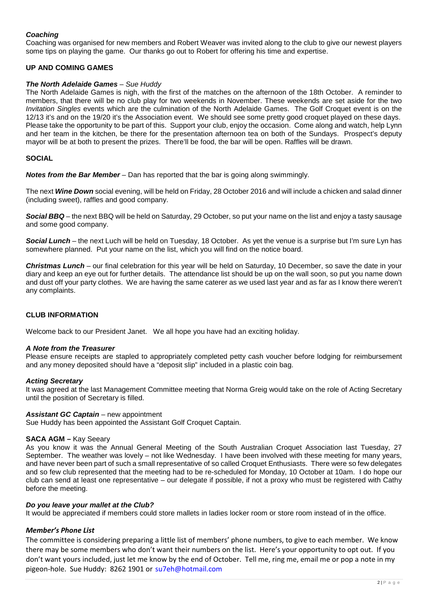# <span id="page-1-0"></span>*Coaching*

Coaching was organised for new members and Robert Weaver was invited along to the club to give our newest players some tips on playing the game. Our thanks go out to Robert for offering his time and expertise.

# <span id="page-1-1"></span>**UP AND COMING GAMES**

#### <span id="page-1-2"></span>*The North Adelaide Games* – *Sue Huddy*

The North Adelaide Games is nigh, with the first of the matches on the afternoon of the 18th October. A reminder to members, that there will be no club play for two weekends in November. These weekends are set aside for the two *Invitation Singles* events which are the culmination of the North Adelaide Games. The Golf Croquet event is on the 12/13 it's and on the 19/20 it's the Association event. We should see some pretty good croquet played on these days. Please take the opportunity to be part of this. Support your club, enjoy the occasion. Come along and watch, help Lynn and her team in the kitchen, be there for the presentation afternoon tea on both of the Sundays. Prospect's deputy mayor will be at both to present the prizes. There'll be food, the bar will be open. Raffles will be drawn.

### <span id="page-1-3"></span>**SOCIAL**

<span id="page-1-4"></span>*Notes from the Bar Member –* Dan has reported that the bar is going along swimmingly.

<span id="page-1-5"></span>The next *Wine Down* social evening, will be held on Friday, 28 October 2016 and will include a chicken and salad dinner (including sweet), raffles and good company.

<span id="page-1-6"></span>*Social BBQ* – the next BBQ will be held on Saturday, 29 October, so put your name on the list and enjoy a tasty sausage and some good company.

<span id="page-1-7"></span>*Social Lunch* – the next Luch will be held on Tuesday, 18 October. As yet the venue is a surprise but I'm sure Lyn has somewhere planned. Put your name on the list, which you will find on the notice board.

<span id="page-1-8"></span>*Christmas Lunch* – our final celebration for this year will be held on Saturday, 10 December, so save the date in your diary and keep an eye out for further details. The attendance list should be up on the wall soon, so put you name down and dust off your party clothes. We are having the same caterer as we used last year and as far as I know there weren't any complaints.

#### <span id="page-1-9"></span>**CLUB INFORMATION**

Welcome back to our President Janet. We all hope you have had an exciting holiday.

#### <span id="page-1-10"></span>*A Note from the Treasurer*

Please ensure receipts are stapled to appropriately completed petty cash voucher before lodging for reimbursement and any money deposited should have a "deposit slip" included in a plastic coin bag.

#### <span id="page-1-11"></span>*Acting Secretary*

It was agreed at the last Management Committee meeting that Norma Greig would take on the role of Acting Secretary until the position of Secretary is filled.

#### <span id="page-1-12"></span>*Assistant GC Captain* – new appointment

Sue Huddy has been appointed the Assistant Golf Croquet Captain.

#### <span id="page-1-13"></span>**SACA AGM –** Kay Seeary

As you know it was the Annual General Meeting of the South Australian Croquet Association last Tuesday, 27 September. The weather was lovely – not like Wednesday. I have been involved with these meeting for many years, and have never been part of such a small representative of so called Croquet Enthusiasts. There were so few delegates and so few club represented that the meeting had to be re-scheduled for Monday, 10 October at 10am. I do hope our club can send at least one representative – our delegate if possible, if not a proxy who must be registered with Cathy before the meeting.

#### <span id="page-1-14"></span>*Do you leave your mallet at the Club?*

It would be appreciated if members could store mallets in ladies locker room or store room instead of in the office.

#### <span id="page-1-15"></span>*Member's Phone List*

The committee is considering preparing a little list of members' phone numbers, to give to each member. We know there may be some members who don't want their numbers on the list. Here's your opportunity to opt out. If you don't want yours included, just let me know by the end of October. Tell me, ring me, email me or pop a note in my pigeon-hole. Sue Huddy: 8262 1901 or [su7eh@hotmail.com](mailto:su7eh@hotmail.com)